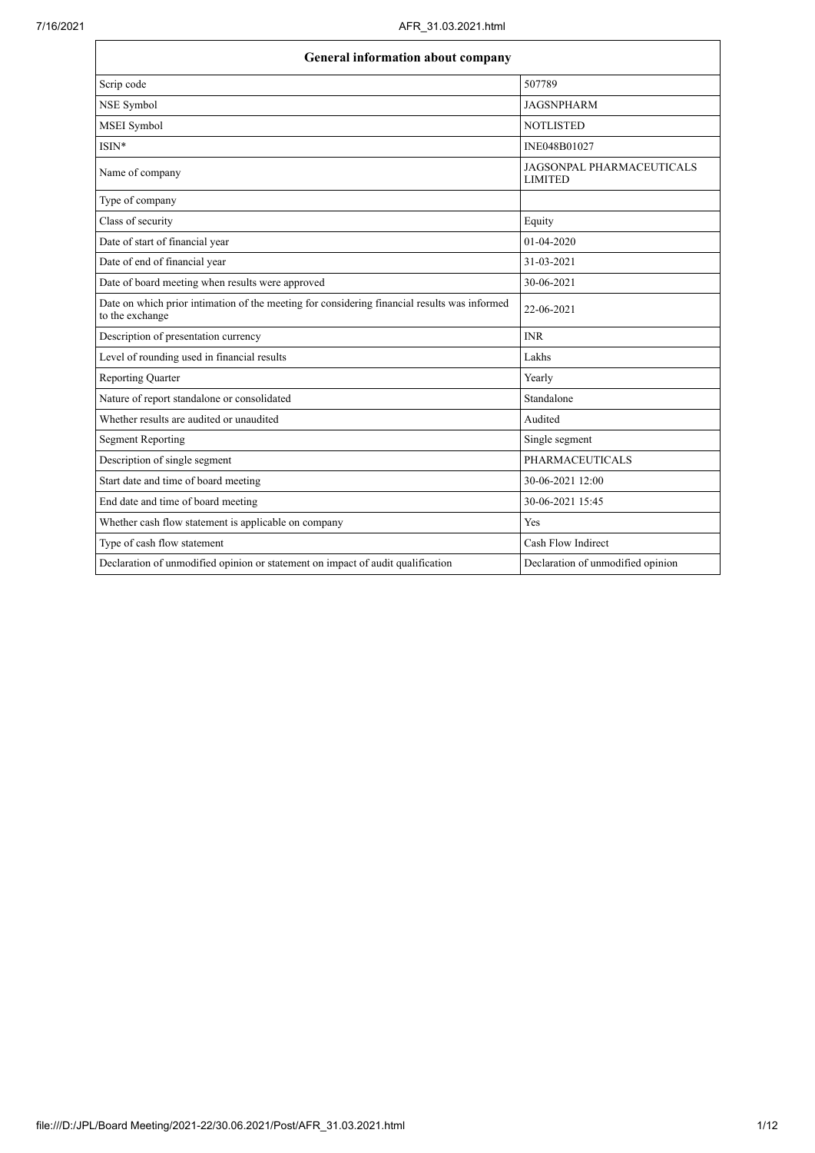$\mathbf{r}$ 

| <b>General information about company</b>                                                                        |                                                    |  |
|-----------------------------------------------------------------------------------------------------------------|----------------------------------------------------|--|
| Scrip code                                                                                                      | 507789                                             |  |
| NSE Symbol                                                                                                      | <b>JAGSNPHARM</b>                                  |  |
| MSEI Symbol                                                                                                     | <b>NOTLISTED</b>                                   |  |
| ISIN*                                                                                                           | INE048B01027                                       |  |
| Name of company                                                                                                 | <b>JAGSONPAL PHARMACEUTICALS</b><br><b>LIMITED</b> |  |
| Type of company                                                                                                 |                                                    |  |
| Class of security                                                                                               | Equity                                             |  |
| Date of start of financial year                                                                                 | 01-04-2020                                         |  |
| Date of end of financial year                                                                                   | 31-03-2021                                         |  |
| Date of board meeting when results were approved                                                                | 30-06-2021                                         |  |
| Date on which prior intimation of the meeting for considering financial results was informed<br>to the exchange | 22-06-2021                                         |  |
| Description of presentation currency                                                                            | <b>INR</b>                                         |  |
| Level of rounding used in financial results                                                                     | Lakhs                                              |  |
| <b>Reporting Quarter</b>                                                                                        | Yearly                                             |  |
| Nature of report standalone or consolidated                                                                     | Standalone                                         |  |
| Whether results are audited or unaudited                                                                        | Audited                                            |  |
| <b>Segment Reporting</b>                                                                                        | Single segment                                     |  |
| Description of single segment                                                                                   | <b>PHARMACEUTICALS</b>                             |  |
| Start date and time of board meeting                                                                            | 30-06-2021 12:00                                   |  |
| End date and time of board meeting                                                                              | 30-06-2021 15:45                                   |  |
| Whether cash flow statement is applicable on company                                                            | Yes                                                |  |
| Type of cash flow statement                                                                                     | Cash Flow Indirect                                 |  |
| Declaration of unmodified opinion or statement on impact of audit qualification                                 | Declaration of unmodified opinion                  |  |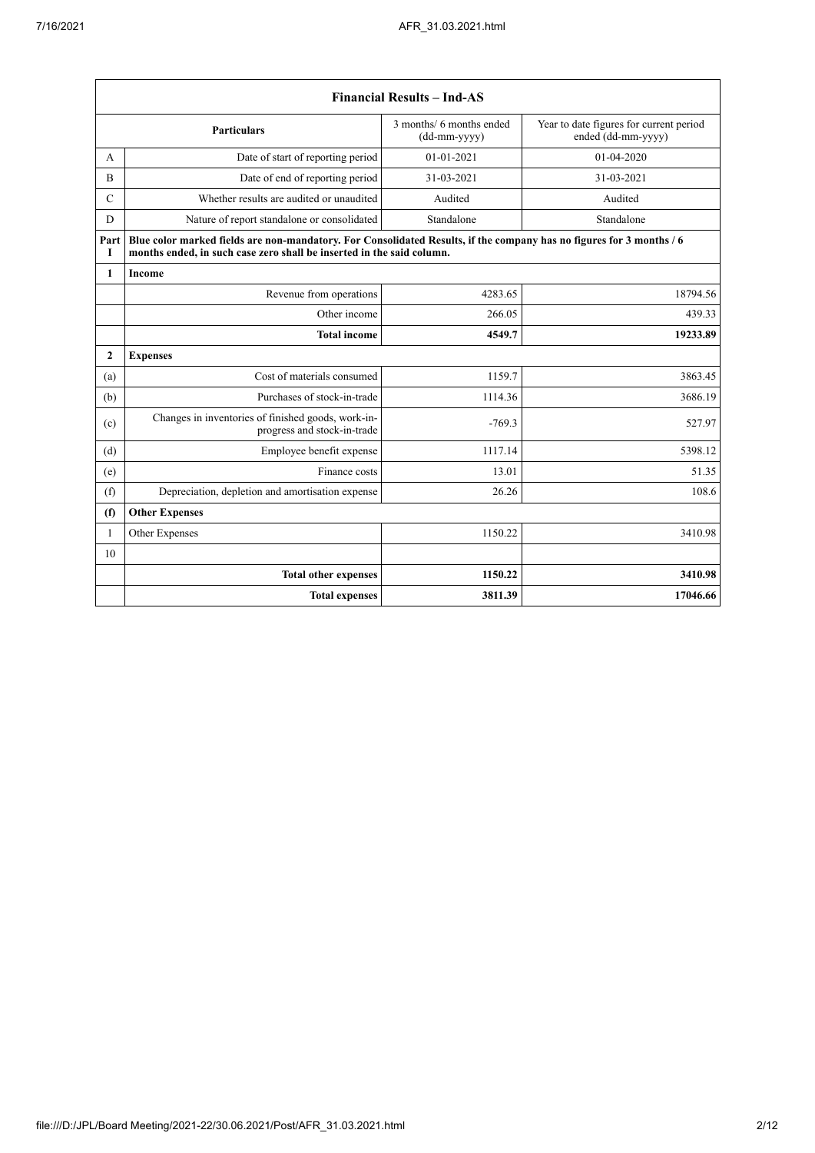$\mathbf{r}$ 

|                | <b>Financial Results - Ind-AS</b>                                                                                                                                                             |                                            |                                                               |  |  |
|----------------|-----------------------------------------------------------------------------------------------------------------------------------------------------------------------------------------------|--------------------------------------------|---------------------------------------------------------------|--|--|
|                | <b>Particulars</b>                                                                                                                                                                            | 3 months/ 6 months ended<br>$(dd-mm-yyyy)$ | Year to date figures for current period<br>ended (dd-mm-yyyy) |  |  |
| А              | Date of start of reporting period                                                                                                                                                             | 01-01-2021                                 | 01-04-2020                                                    |  |  |
| $\overline{B}$ | Date of end of reporting period                                                                                                                                                               | 31-03-2021                                 | 31-03-2021                                                    |  |  |
| $\mathcal{C}$  | Whether results are audited or unaudited                                                                                                                                                      | Audited                                    | Audited                                                       |  |  |
| D              | Nature of report standalone or consolidated                                                                                                                                                   | Standalone                                 | Standalone                                                    |  |  |
| Part<br>I      | Blue color marked fields are non-mandatory. For Consolidated Results, if the company has no figures for 3 months / 6<br>months ended, in such case zero shall be inserted in the said column. |                                            |                                                               |  |  |
| $\mathbf{1}$   | <b>Income</b>                                                                                                                                                                                 |                                            |                                                               |  |  |
|                | Revenue from operations                                                                                                                                                                       | 4283.65                                    | 18794.56                                                      |  |  |
|                | Other income                                                                                                                                                                                  | 266.05                                     | 439.33                                                        |  |  |
|                | <b>Total income</b>                                                                                                                                                                           | 4549.7                                     | 19233.89                                                      |  |  |
| $\overline{2}$ | <b>Expenses</b>                                                                                                                                                                               |                                            |                                                               |  |  |
| (a)            | Cost of materials consumed                                                                                                                                                                    | 1159.7                                     | 3863.45                                                       |  |  |
| (b)            | Purchases of stock-in-trade                                                                                                                                                                   | 1114.36                                    | 3686.19                                                       |  |  |
| (c)            | Changes in inventories of finished goods, work-in-<br>progress and stock-in-trade                                                                                                             | $-769.3$                                   | 527.97                                                        |  |  |
| (d)            | Employee benefit expense                                                                                                                                                                      | 1117.14                                    | 5398.12                                                       |  |  |
| (e)            | Finance costs                                                                                                                                                                                 | 13.01                                      | 51.35                                                         |  |  |
| (f)            | Depreciation, depletion and amortisation expense                                                                                                                                              | 26.26                                      | 108.6                                                         |  |  |
| (f)            | <b>Other Expenses</b>                                                                                                                                                                         |                                            |                                                               |  |  |
| $\mathbf{1}$   | Other Expenses                                                                                                                                                                                | 1150.22                                    | 3410.98                                                       |  |  |
| 10             |                                                                                                                                                                                               |                                            |                                                               |  |  |
|                | <b>Total other expenses</b>                                                                                                                                                                   | 1150.22                                    | 3410.98                                                       |  |  |
|                | <b>Total expenses</b>                                                                                                                                                                         | 3811.39                                    | 17046.66                                                      |  |  |

 $\overline{\phantom{a}}$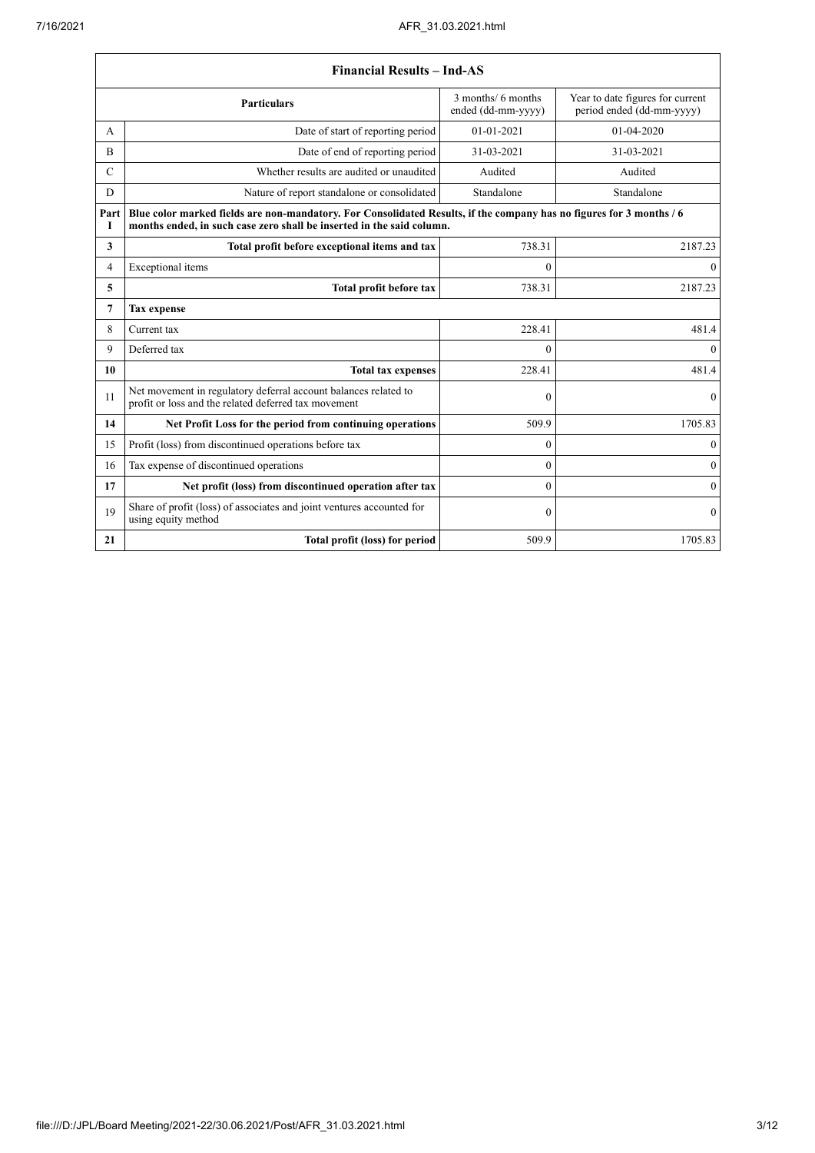|                | <b>Financial Results - Ind-AS</b>                                                                                                                                                             |              |                  |  |  |  |
|----------------|-----------------------------------------------------------------------------------------------------------------------------------------------------------------------------------------------|--------------|------------------|--|--|--|
|                | 3 months/ 6 months<br>Year to date figures for current<br><b>Particulars</b><br>period ended (dd-mm-yyyy)<br>ended (dd-mm-yyyy)                                                               |              |                  |  |  |  |
| A              | Date of start of reporting period                                                                                                                                                             | 01-01-2021   | $01-04-2020$     |  |  |  |
| $\overline{B}$ | Date of end of reporting period                                                                                                                                                               | 31-03-2021   | 31-03-2021       |  |  |  |
| $\mathbf C$    | Whether results are audited or unaudited                                                                                                                                                      | Audited      | Audited          |  |  |  |
| D              | Nature of report standalone or consolidated                                                                                                                                                   | Standalone   | Standalone       |  |  |  |
| Part<br>I      | Blue color marked fields are non-mandatory. For Consolidated Results, if the company has no figures for 3 months / 6<br>months ended, in such case zero shall be inserted in the said column. |              |                  |  |  |  |
| 3              | Total profit before exceptional items and tax                                                                                                                                                 | 738.31       | 2187.23          |  |  |  |
| 4              | Exceptional items                                                                                                                                                                             | $\Omega$     | $\mathbf{0}$     |  |  |  |
| 5              | Total profit before tax                                                                                                                                                                       | 738.31       | 2187.23          |  |  |  |
| 7              | Tax expense                                                                                                                                                                                   |              |                  |  |  |  |
| 8              | Current tax                                                                                                                                                                                   | 228.41       | 481.4            |  |  |  |
| 9              | Deferred tax                                                                                                                                                                                  | $\Omega$     | $\theta$         |  |  |  |
| 10             | <b>Total tax expenses</b>                                                                                                                                                                     | 228.41       | 481.4            |  |  |  |
| 11             | Net movement in regulatory deferral account balances related to<br>profit or loss and the related deferred tax movement                                                                       | $\theta$     | $\mathbf{0}$     |  |  |  |
| 14             | Net Profit Loss for the period from continuing operations                                                                                                                                     | 509.9        | 1705.83          |  |  |  |
| 15             | Profit (loss) from discontinued operations before tax                                                                                                                                         | $\theta$     | $\mathbf{0}$     |  |  |  |
| 16             | Tax expense of discontinued operations                                                                                                                                                        | $\theta$     | $\mathbf{0}$     |  |  |  |
| 17             | Net profit (loss) from discontinued operation after tax                                                                                                                                       | $\theta$     | $\theta$         |  |  |  |
| 19             | Share of profit (loss) of associates and joint ventures accounted for<br>using equity method                                                                                                  | $\mathbf{0}$ | $\boldsymbol{0}$ |  |  |  |
| 21             | Total profit (loss) for period                                                                                                                                                                | 509.9        | 1705.83          |  |  |  |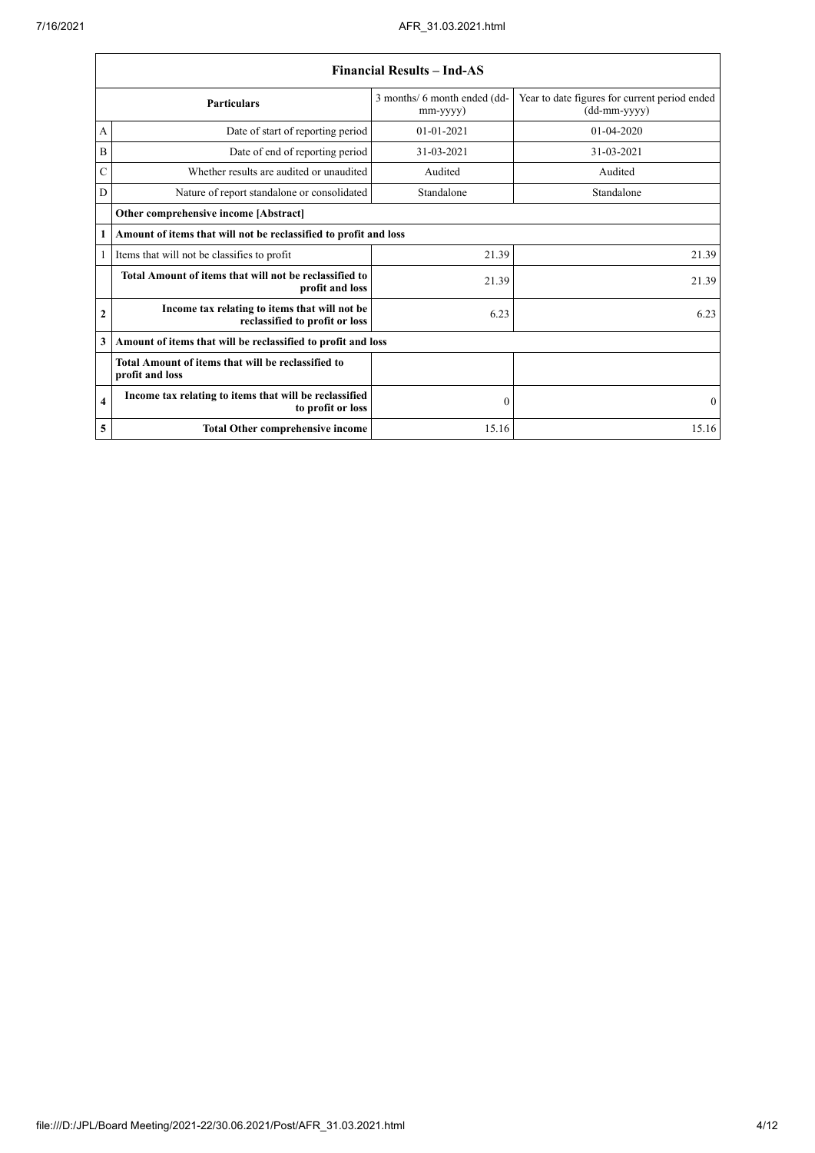|                                                           | <b>Financial Results - Ind-AS</b>                                               |                                          |                                                               |  |
|-----------------------------------------------------------|---------------------------------------------------------------------------------|------------------------------------------|---------------------------------------------------------------|--|
| <b>Particulars</b>                                        |                                                                                 | 3 months/ 6 month ended (dd-<br>mm-yyyy) | Year to date figures for current period ended<br>(dd-mm-yyyy) |  |
| А                                                         | Date of start of reporting period                                               | $01 - 01 - 2021$                         | 01-04-2020                                                    |  |
| B                                                         | Date of end of reporting period                                                 | 31-03-2021                               | 31-03-2021                                                    |  |
| C                                                         | Whether results are audited or unaudited                                        | Audited                                  | Audited                                                       |  |
| D                                                         | Nature of report standalone or consolidated                                     | Standalone                               | Standalone                                                    |  |
|                                                           | Other comprehensive income [Abstract]                                           |                                          |                                                               |  |
| 1                                                         | Amount of items that will not be reclassified to profit and loss                |                                          |                                                               |  |
| 1<br>Items that will not be classifies to profit<br>21.39 |                                                                                 | 21.39                                    |                                                               |  |
|                                                           | Total Amount of items that will not be reclassified to<br>profit and loss       | 21.39                                    | 21.39                                                         |  |
| $\mathbf{2}$                                              | Income tax relating to items that will not be<br>reclassified to profit or loss | 6.23                                     | 6.23                                                          |  |
| 3                                                         | Amount of items that will be reclassified to profit and loss                    |                                          |                                                               |  |
|                                                           | Total Amount of items that will be reclassified to<br>profit and loss           |                                          |                                                               |  |
| $\overline{\mathbf{4}}$                                   | Income tax relating to items that will be reclassified<br>to profit or loss     | $\mathbf{0}$                             | $\theta$                                                      |  |
| 5                                                         | <b>Total Other comprehensive income</b>                                         | 15.16                                    | 15.16                                                         |  |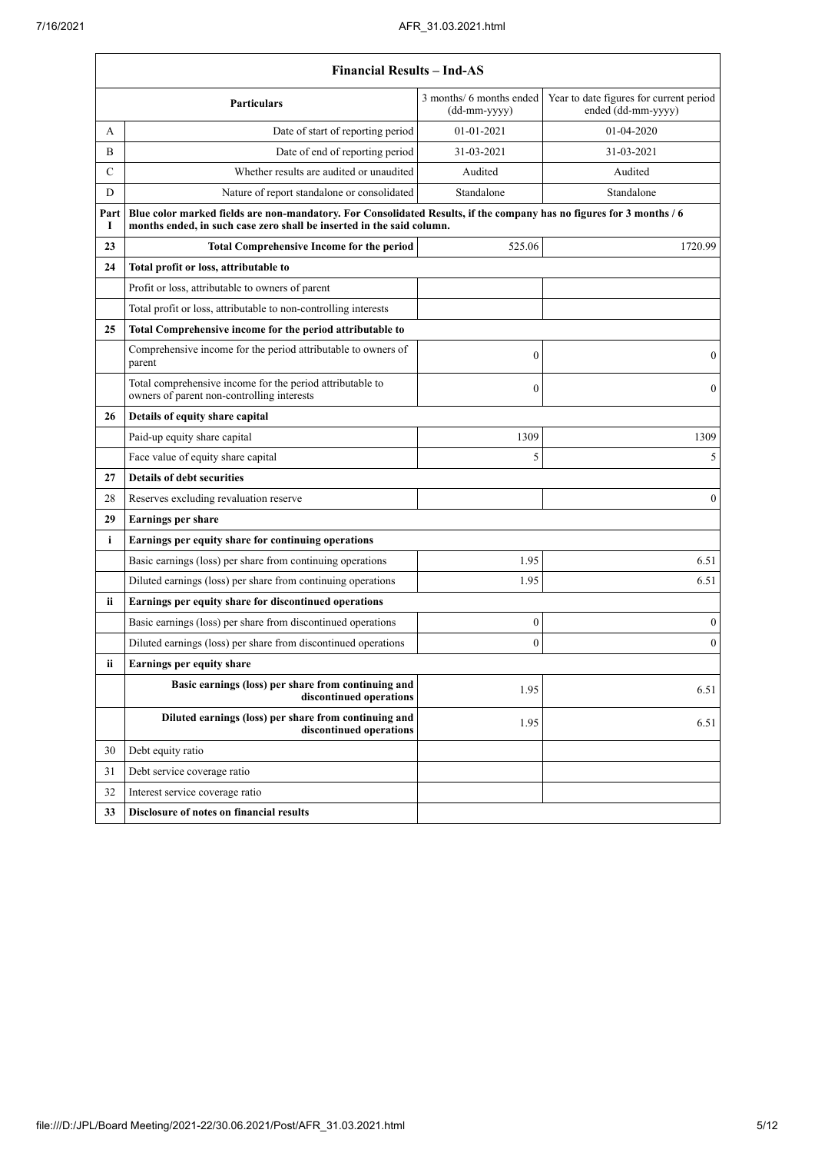$\mathbf{r}$ 

|                                       | <b>Financial Results - Ind-AS</b>                                                                                                                                                             |                  |                  |  |  |  |
|---------------------------------------|-----------------------------------------------------------------------------------------------------------------------------------------------------------------------------------------------|------------------|------------------|--|--|--|
|                                       | 3 months/ 6 months ended<br>Year to date figures for current period<br><b>Particulars</b><br>ended (dd-mm-yyyy)<br>(dd-mm-yyyy)                                                               |                  |                  |  |  |  |
| А                                     | Date of start of reporting period                                                                                                                                                             | 01-01-2021       | 01-04-2020       |  |  |  |
| B                                     | Date of end of reporting period                                                                                                                                                               | 31-03-2021       | 31-03-2021       |  |  |  |
| $\mathsf{C}$                          | Whether results are audited or unaudited                                                                                                                                                      | Audited          | Audited          |  |  |  |
| D                                     | Nature of report standalone or consolidated                                                                                                                                                   | Standalone       | Standalone       |  |  |  |
| Part<br>1                             | Blue color marked fields are non-mandatory. For Consolidated Results, if the company has no figures for 3 months / 6<br>months ended, in such case zero shall be inserted in the said column. |                  |                  |  |  |  |
| 23                                    | <b>Total Comprehensive Income for the period</b>                                                                                                                                              | 525.06           | 1720.99          |  |  |  |
| 24                                    | Total profit or loss, attributable to                                                                                                                                                         |                  |                  |  |  |  |
|                                       | Profit or loss, attributable to owners of parent                                                                                                                                              |                  |                  |  |  |  |
|                                       | Total profit or loss, attributable to non-controlling interests                                                                                                                               |                  |                  |  |  |  |
| 25                                    | Total Comprehensive income for the period attributable to                                                                                                                                     |                  |                  |  |  |  |
|                                       | Comprehensive income for the period attributable to owners of<br>parent                                                                                                                       | $\mathbf{0}$     | 0                |  |  |  |
|                                       | Total comprehensive income for the period attributable to<br>owners of parent non-controlling interests                                                                                       | $\mathbf{0}$     | $\overline{0}$   |  |  |  |
| Details of equity share capital<br>26 |                                                                                                                                                                                               |                  |                  |  |  |  |
|                                       | Paid-up equity share capital                                                                                                                                                                  | 1309             | 1309             |  |  |  |
|                                       | Face value of equity share capital                                                                                                                                                            | 5                | 5                |  |  |  |
| 27                                    | <b>Details of debt securities</b>                                                                                                                                                             |                  |                  |  |  |  |
| 28                                    | Reserves excluding revaluation reserve                                                                                                                                                        |                  | $\boldsymbol{0}$ |  |  |  |
| 29                                    | Earnings per share                                                                                                                                                                            |                  |                  |  |  |  |
| i                                     | Earnings per equity share for continuing operations                                                                                                                                           |                  |                  |  |  |  |
|                                       | Basic earnings (loss) per share from continuing operations                                                                                                                                    | 1.95             | 6.51             |  |  |  |
|                                       | Diluted earnings (loss) per share from continuing operations                                                                                                                                  | 1.95             | 6.51             |  |  |  |
| ii.                                   | Earnings per equity share for discontinued operations                                                                                                                                         |                  |                  |  |  |  |
|                                       | Basic earnings (loss) per share from discontinued operations                                                                                                                                  | $\boldsymbol{0}$ | 0                |  |  |  |
|                                       | Diluted earnings (loss) per share from discontinued operations                                                                                                                                | $\theta$         | $\boldsymbol{0}$ |  |  |  |
| ii                                    | Earnings per equity share                                                                                                                                                                     |                  |                  |  |  |  |
|                                       | Basic earnings (loss) per share from continuing and<br>discontinued operations                                                                                                                | 1.95             | 6.51             |  |  |  |
|                                       | Diluted earnings (loss) per share from continuing and<br>discontinued operations                                                                                                              | 1.95             | 6.51             |  |  |  |
| 30                                    | Debt equity ratio                                                                                                                                                                             |                  |                  |  |  |  |
| 31                                    | Debt service coverage ratio                                                                                                                                                                   |                  |                  |  |  |  |
| 32                                    | Interest service coverage ratio                                                                                                                                                               |                  |                  |  |  |  |
| 33                                    | Disclosure of notes on financial results                                                                                                                                                      |                  |                  |  |  |  |
|                                       |                                                                                                                                                                                               |                  |                  |  |  |  |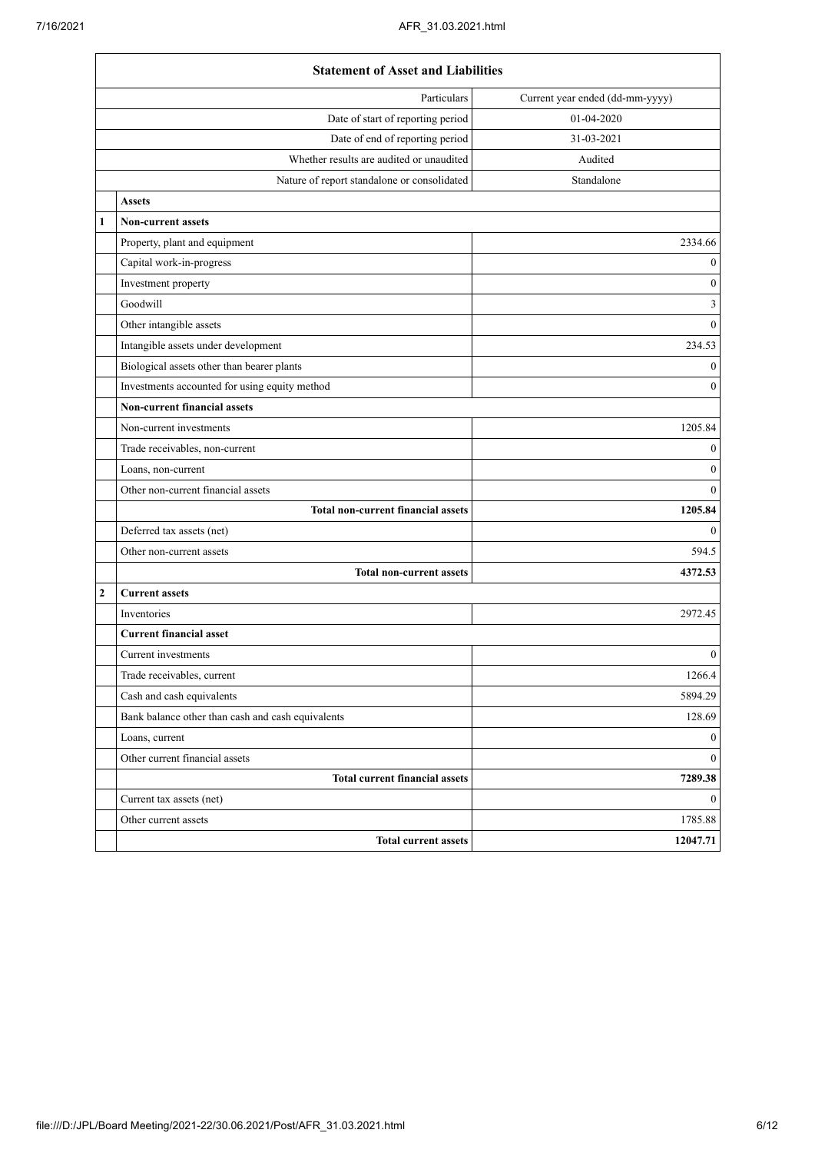|   | <b>Statement of Asset and Liabilities</b>         |                                 |  |
|---|---------------------------------------------------|---------------------------------|--|
|   | Particulars                                       | Current year ended (dd-mm-yyyy) |  |
|   | Date of start of reporting period                 | 01-04-2020                      |  |
|   | Date of end of reporting period                   | 31-03-2021                      |  |
|   | Whether results are audited or unaudited          | Audited                         |  |
|   | Nature of report standalone or consolidated       | Standalone                      |  |
|   | <b>Assets</b>                                     |                                 |  |
| 1 | <b>Non-current assets</b>                         |                                 |  |
|   | Property, plant and equipment                     | 2334.66                         |  |
|   | Capital work-in-progress                          | $\boldsymbol{0}$                |  |
|   | Investment property                               | $\boldsymbol{0}$                |  |
|   | Goodwill                                          | 3                               |  |
|   | Other intangible assets                           | $\boldsymbol{0}$                |  |
|   | Intangible assets under development               | 234.53                          |  |
|   | Biological assets other than bearer plants        | $\boldsymbol{0}$                |  |
|   | Investments accounted for using equity method     | $\boldsymbol{0}$                |  |
|   | <b>Non-current financial assets</b>               |                                 |  |
|   | Non-current investments                           | 1205.84                         |  |
|   | Trade receivables, non-current                    | $\boldsymbol{0}$                |  |
|   | Loans, non-current                                | $\boldsymbol{0}$                |  |
|   | Other non-current financial assets                | $\mathbf{0}$                    |  |
|   | <b>Total non-current financial assets</b>         | 1205.84                         |  |
|   | Deferred tax assets (net)                         | $\mathbf{0}$                    |  |
|   | Other non-current assets                          | 594.5                           |  |
|   | <b>Total non-current assets</b>                   | 4372.53                         |  |
| 2 | <b>Current assets</b>                             |                                 |  |
|   | <b>Inventories</b>                                | 2972.45                         |  |
|   | <b>Current financial asset</b>                    |                                 |  |
|   | Current investments                               | $\boldsymbol{0}$                |  |
|   | Trade receivables, current                        | 1266.4                          |  |
|   | Cash and cash equivalents                         | 5894.29                         |  |
|   | Bank balance other than cash and cash equivalents | 128.69                          |  |
|   | Loans, current                                    | $\mathbf{0}$                    |  |
|   | Other current financial assets                    | $\mathbf{0}$                    |  |
|   | <b>Total current financial assets</b>             | 7289.38                         |  |
|   | Current tax assets (net)                          | $\overline{0}$                  |  |
|   | Other current assets                              | 1785.88                         |  |
|   | <b>Total current assets</b>                       | 12047.71                        |  |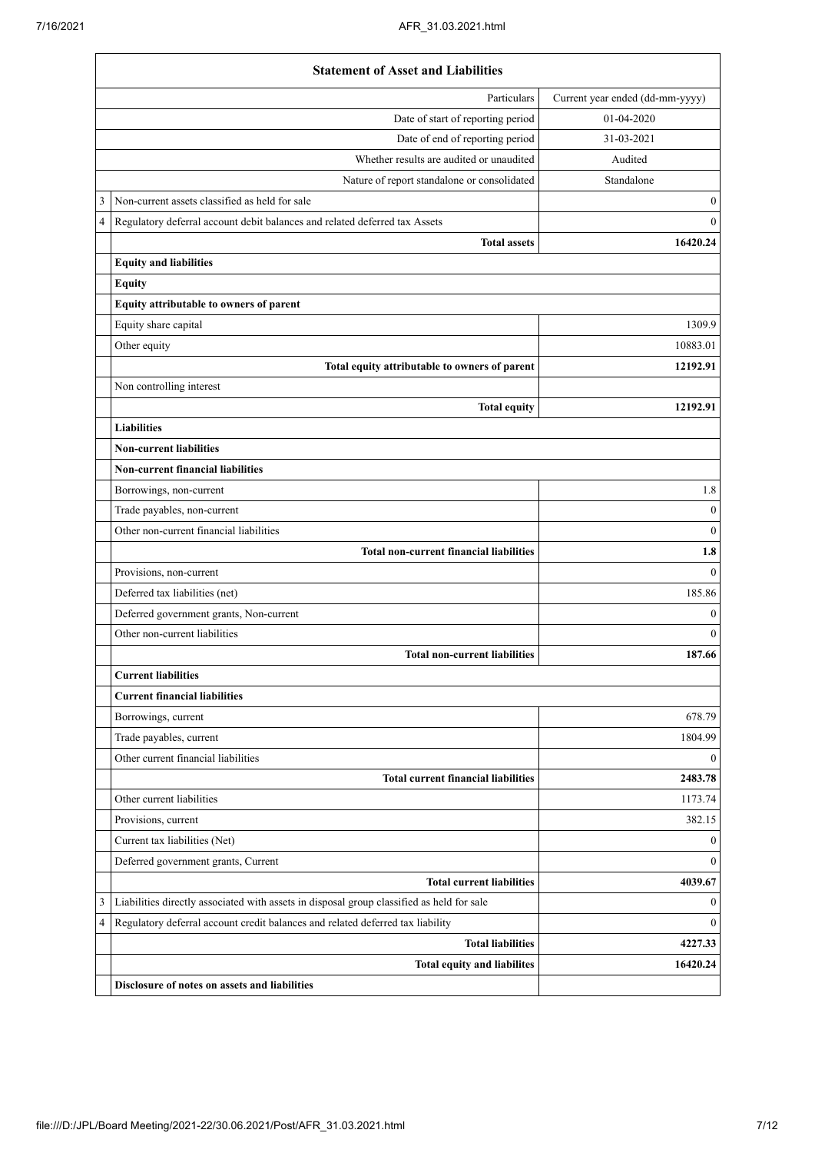|                            | <b>Statement of Asset and Liabilities</b>                                                 |                                 |
|----------------------------|-------------------------------------------------------------------------------------------|---------------------------------|
|                            | Particulars                                                                               | Current year ended (dd-mm-yyyy) |
|                            | Date of start of reporting period                                                         | 01-04-2020                      |
|                            | Date of end of reporting period                                                           | 31-03-2021                      |
|                            | Whether results are audited or unaudited                                                  | Audited                         |
|                            | Nature of report standalone or consolidated                                               | Standalone                      |
| 3                          | Non-current assets classified as held for sale                                            | $\mathbf{0}$                    |
| $\overline{4}$             | Regulatory deferral account debit balances and related deferred tax Assets                | $\mathbf{0}$                    |
|                            | <b>Total assets</b>                                                                       | 16420.24                        |
|                            | <b>Equity and liabilities</b>                                                             |                                 |
|                            | <b>Equity</b>                                                                             |                                 |
|                            | Equity attributable to owners of parent                                                   |                                 |
|                            | Equity share capital                                                                      | 1309.9                          |
|                            | Other equity                                                                              | 10883.01                        |
|                            | Total equity attributable to owners of parent                                             | 12192.91                        |
|                            | Non controlling interest                                                                  |                                 |
|                            | <b>Total equity</b>                                                                       | 12192.91                        |
|                            | <b>Liabilities</b>                                                                        |                                 |
|                            | <b>Non-current liabilities</b>                                                            |                                 |
|                            | <b>Non-current financial liabilities</b>                                                  |                                 |
|                            | Borrowings, non-current                                                                   | 1.8                             |
|                            | Trade payables, non-current                                                               | $\boldsymbol{0}$                |
|                            | Other non-current financial liabilities                                                   | $\mathbf{0}$                    |
|                            | <b>Total non-current financial liabilities</b>                                            | 1.8                             |
|                            | Provisions, non-current                                                                   | $\theta$                        |
|                            | Deferred tax liabilities (net)                                                            | 185.86                          |
|                            | Deferred government grants, Non-current                                                   | $\mathbf{0}$                    |
|                            | Other non-current liabilities                                                             | $\mathbf{0}$                    |
|                            | <b>Total non-current liabilities</b>                                                      | 187.66                          |
| <b>Current liabilities</b> |                                                                                           |                                 |
|                            | <b>Current financial liabilities</b>                                                      |                                 |
|                            | Borrowings, current                                                                       | 678.79                          |
|                            | Trade payables, current                                                                   | 1804.99                         |
|                            | Other current financial liabilities                                                       | $\boldsymbol{0}$                |
|                            | <b>Total current financial liabilities</b>                                                | 2483.78                         |
|                            | Other current liabilities                                                                 | 1173.74                         |
|                            | Provisions, current                                                                       | 382.15                          |
|                            | Current tax liabilities (Net)                                                             | $\mathbf{0}$                    |
|                            | Deferred government grants, Current                                                       | $\mathbf{0}$                    |
|                            | <b>Total current liabilities</b>                                                          | 4039.67                         |
| 3                          | Liabilities directly associated with assets in disposal group classified as held for sale | $\boldsymbol{0}$                |
| 4                          | Regulatory deferral account credit balances and related deferred tax liability            | $\boldsymbol{0}$                |
|                            | <b>Total liabilities</b>                                                                  | 4227.33                         |
|                            | <b>Total equity and liabilites</b>                                                        | 16420.24                        |
|                            | Disclosure of notes on assets and liabilities                                             |                                 |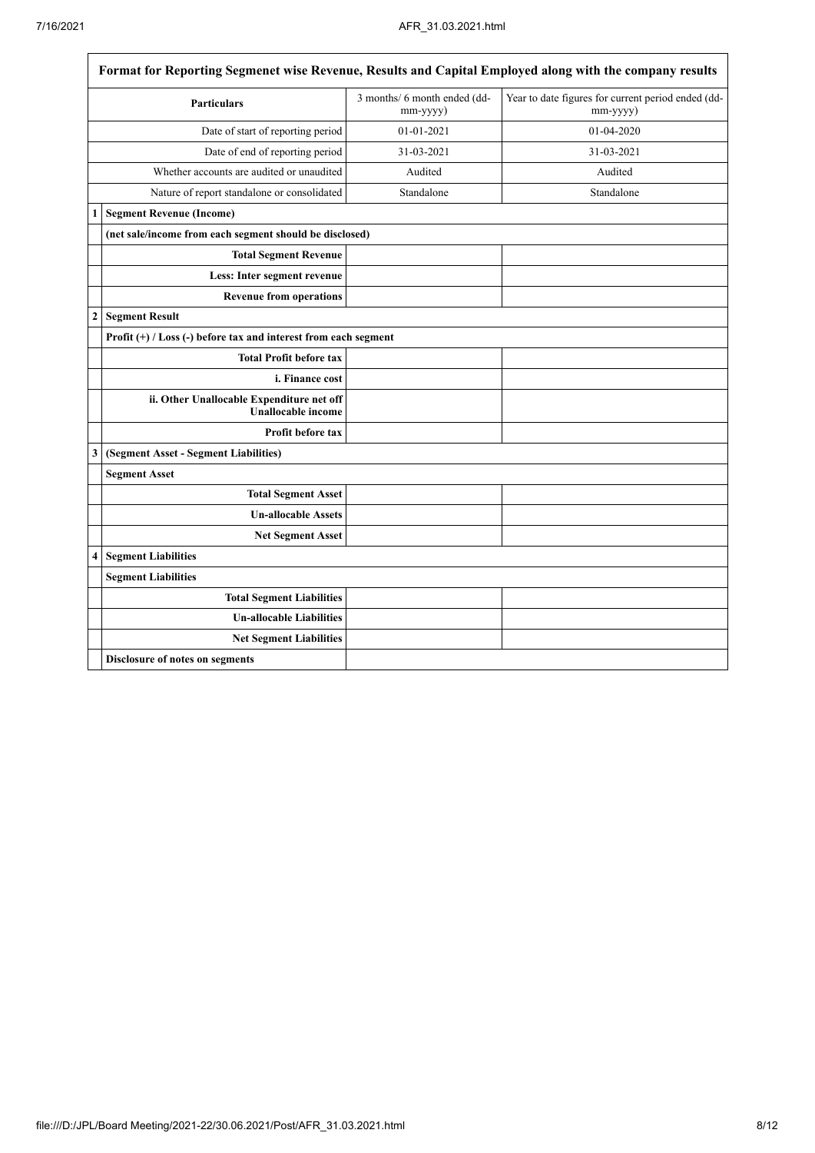$\overline{\mathsf{I}}$ 

| Format for Reporting Segmenet wise Revenue, Results and Capital Employed along with the company results |                                                                                                                                  |            |            |  |  |  |
|---------------------------------------------------------------------------------------------------------|----------------------------------------------------------------------------------------------------------------------------------|------------|------------|--|--|--|
|                                                                                                         | 3 months/ 6 month ended (dd-<br>Year to date figures for current period ended (dd-<br><b>Particulars</b><br>mm-yyyy)<br>mm-yyyy) |            |            |  |  |  |
|                                                                                                         | Date of start of reporting period                                                                                                | 01-01-2021 | 01-04-2020 |  |  |  |
|                                                                                                         | Date of end of reporting period                                                                                                  | 31-03-2021 | 31-03-2021 |  |  |  |
|                                                                                                         | Whether accounts are audited or unaudited                                                                                        | Audited    | Audited    |  |  |  |
|                                                                                                         | Nature of report standalone or consolidated                                                                                      | Standalone | Standalone |  |  |  |
| 1                                                                                                       | <b>Segment Revenue (Income)</b>                                                                                                  |            |            |  |  |  |
|                                                                                                         | (net sale/income from each segment should be disclosed)                                                                          |            |            |  |  |  |
|                                                                                                         | <b>Total Segment Revenue</b>                                                                                                     |            |            |  |  |  |
|                                                                                                         | Less: Inter segment revenue                                                                                                      |            |            |  |  |  |
|                                                                                                         | <b>Revenue from operations</b>                                                                                                   |            |            |  |  |  |
| $\boldsymbol{2}$                                                                                        | <b>Segment Result</b>                                                                                                            |            |            |  |  |  |
|                                                                                                         | Profit $(+)$ / Loss (-) before tax and interest from each segment                                                                |            |            |  |  |  |
|                                                                                                         | <b>Total Profit before tax</b>                                                                                                   |            |            |  |  |  |
|                                                                                                         | <i>i. Finance cost</i>                                                                                                           |            |            |  |  |  |
|                                                                                                         | ii. Other Unallocable Expenditure net off<br><b>Unallocable income</b>                                                           |            |            |  |  |  |
|                                                                                                         | <b>Profit before tax</b>                                                                                                         |            |            |  |  |  |
| 3                                                                                                       | (Segment Asset - Segment Liabilities)                                                                                            |            |            |  |  |  |
|                                                                                                         | <b>Segment Asset</b>                                                                                                             |            |            |  |  |  |
|                                                                                                         | <b>Total Segment Asset</b>                                                                                                       |            |            |  |  |  |
|                                                                                                         | <b>Un-allocable Assets</b>                                                                                                       |            |            |  |  |  |
|                                                                                                         | <b>Net Segment Asset</b>                                                                                                         |            |            |  |  |  |
| 4                                                                                                       | <b>Segment Liabilities</b>                                                                                                       |            |            |  |  |  |
|                                                                                                         | <b>Segment Liabilities</b>                                                                                                       |            |            |  |  |  |
|                                                                                                         | <b>Total Segment Liabilities</b>                                                                                                 |            |            |  |  |  |
|                                                                                                         | <b>Un-allocable Liabilities</b>                                                                                                  |            |            |  |  |  |
|                                                                                                         | <b>Net Segment Liabilities</b>                                                                                                   |            |            |  |  |  |
|                                                                                                         | Disclosure of notes on segments                                                                                                  |            |            |  |  |  |

I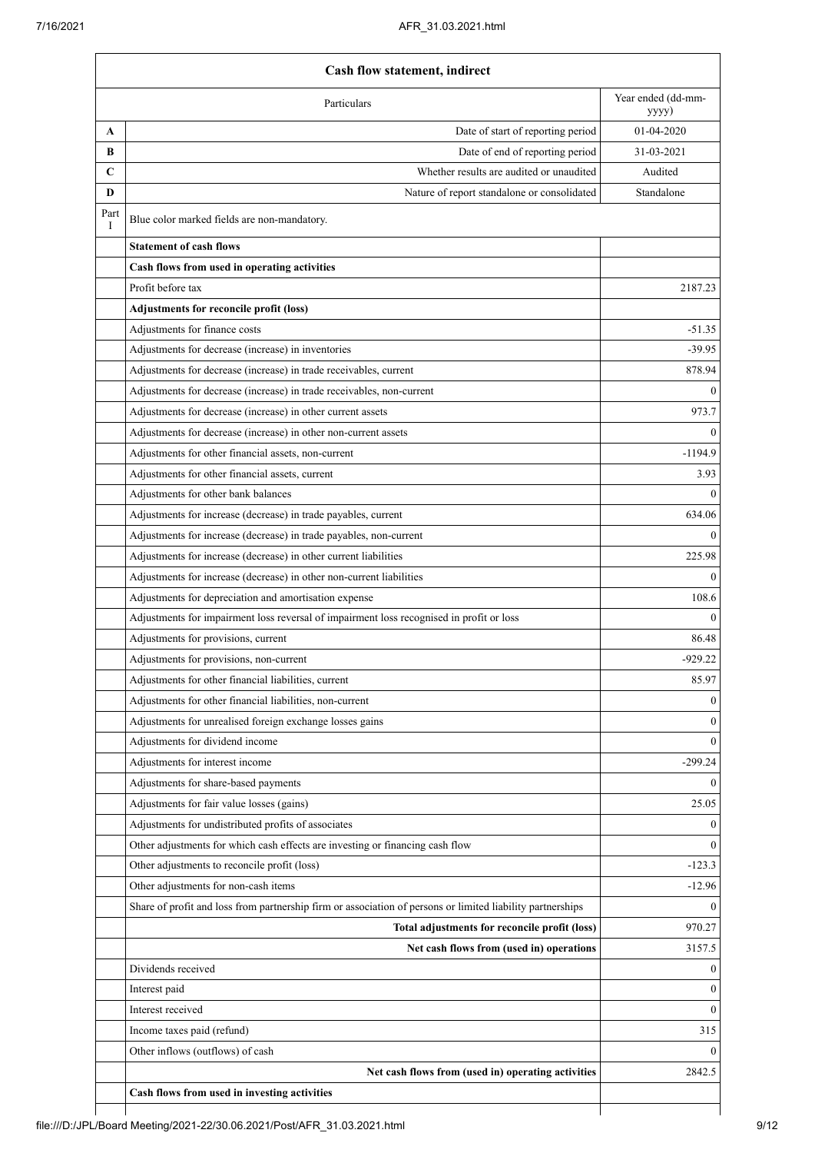|           | Particulars                                                                                                | Year ended (dd-mm-<br>yyyy) |
|-----------|------------------------------------------------------------------------------------------------------------|-----------------------------|
| A         | Date of start of reporting period                                                                          | 01-04-2020                  |
| B         | Date of end of reporting period                                                                            | 31-03-2021                  |
| C         | Whether results are audited or unaudited                                                                   | Audited                     |
| D         | Nature of report standalone or consolidated                                                                | Standalone                  |
| Part<br>Ι | Blue color marked fields are non-mandatory.                                                                |                             |
|           | <b>Statement of cash flows</b>                                                                             |                             |
|           | Cash flows from used in operating activities                                                               |                             |
|           | Profit before tax                                                                                          | 2187.23                     |
|           | Adjustments for reconcile profit (loss)                                                                    |                             |
|           | Adjustments for finance costs                                                                              | $-51.35$                    |
|           | Adjustments for decrease (increase) in inventories                                                         | $-39.95$                    |
|           | Adjustments for decrease (increase) in trade receivables, current                                          | 878.94                      |
|           | Adjustments for decrease (increase) in trade receivables, non-current                                      |                             |
|           | Adjustments for decrease (increase) in other current assets                                                | 973.7                       |
|           | Adjustments for decrease (increase) in other non-current assets                                            |                             |
|           | Adjustments for other financial assets, non-current                                                        | $-1194.9$                   |
|           | Adjustments for other financial assets, current                                                            | 3.93                        |
|           | Adjustments for other bank balances                                                                        |                             |
|           | Adjustments for increase (decrease) in trade payables, current                                             | 634.06                      |
|           | Adjustments for increase (decrease) in trade payables, non-current                                         |                             |
|           | Adjustments for increase (decrease) in other current liabilities                                           | 225.98                      |
|           | Adjustments for increase (decrease) in other non-current liabilities                                       |                             |
|           | Adjustments for depreciation and amortisation expense                                                      | 108.6                       |
|           | Adjustments for impairment loss reversal of impairment loss recognised in profit or loss                   |                             |
|           | Adjustments for provisions, current                                                                        | 86.48                       |
|           | Adjustments for provisions, non-current                                                                    | $-929.22$                   |
|           | Adjustments for other financial liabilities, current                                                       | 85.97                       |
|           | Adjustments for other financial liabilities, non-current                                                   |                             |
|           | Adjustments for unrealised foreign exchange losses gains                                                   |                             |
|           | Adjustments for dividend income                                                                            |                             |
|           | Adjustments for interest income                                                                            | $-299.24$                   |
|           | Adjustments for share-based payments                                                                       |                             |
|           | Adjustments for fair value losses (gains)                                                                  | 25.05                       |
|           | Adjustments for undistributed profits of associates                                                        |                             |
|           | Other adjustments for which cash effects are investing or financing cash flow                              |                             |
|           | Other adjustments to reconcile profit (loss)                                                               | $-123.3$                    |
|           | Other adjustments for non-cash items                                                                       | $-12.96$                    |
|           | Share of profit and loss from partnership firm or association of persons or limited liability partnerships |                             |
|           | Total adjustments for reconcile profit (loss)                                                              | 970.27                      |
|           | Net cash flows from (used in) operations                                                                   | 3157.5                      |
|           | Dividends received                                                                                         |                             |
|           | Interest paid                                                                                              |                             |
|           | Interest received                                                                                          |                             |
|           | Income taxes paid (refund)                                                                                 | 315                         |
|           | Other inflows (outflows) of cash                                                                           |                             |
|           | Net cash flows from (used in) operating activities                                                         | 2842.5                      |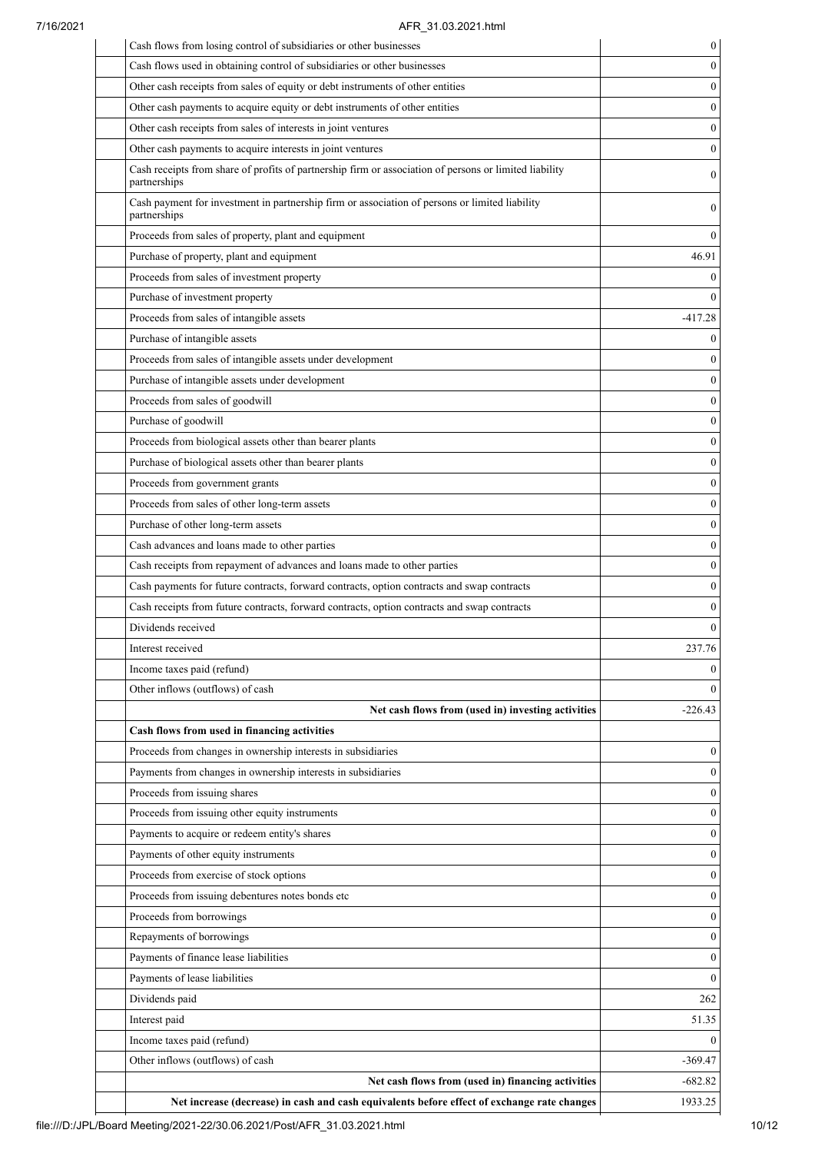## 7/16/2021 AFR\_31.03.2021.html

| Cash flows from losing control of subsidiaries or other businesses                                                     | 0                |
|------------------------------------------------------------------------------------------------------------------------|------------------|
| Cash flows used in obtaining control of subsidiaries or other businesses                                               | $\boldsymbol{0}$ |
| Other cash receipts from sales of equity or debt instruments of other entities                                         | $\boldsymbol{0}$ |
| Other cash payments to acquire equity or debt instruments of other entities                                            | $\boldsymbol{0}$ |
| Other cash receipts from sales of interests in joint ventures                                                          | $\boldsymbol{0}$ |
| Other cash payments to acquire interests in joint ventures                                                             |                  |
| Cash receipts from share of profits of partnership firm or association of persons or limited liability<br>partnerships | $\mathbf{0}$     |
| Cash payment for investment in partnership firm or association of persons or limited liability<br>partnerships         |                  |
| Proceeds from sales of property, plant and equipment                                                                   |                  |
| Purchase of property, plant and equipment                                                                              | 46.91            |
| Proceeds from sales of investment property                                                                             |                  |
| Purchase of investment property                                                                                        |                  |
| Proceeds from sales of intangible assets                                                                               | $-417.28$        |
| Purchase of intangible assets                                                                                          |                  |
| Proceeds from sales of intangible assets under development                                                             |                  |
| Purchase of intangible assets under development                                                                        |                  |
| Proceeds from sales of goodwill                                                                                        |                  |
| Purchase of goodwill                                                                                                   |                  |
| Proceeds from biological assets other than bearer plants                                                               |                  |
| Purchase of biological assets other than bearer plants                                                                 |                  |
| Proceeds from government grants                                                                                        |                  |
| Proceeds from sales of other long-term assets                                                                          |                  |
| Purchase of other long-term assets                                                                                     |                  |
| Cash advances and loans made to other parties                                                                          |                  |
| Cash receipts from repayment of advances and loans made to other parties                                               |                  |
| Cash payments for future contracts, forward contracts, option contracts and swap contracts                             |                  |
| Cash receipts from future contracts, forward contracts, option contracts and swap contracts                            |                  |
| Dividends received                                                                                                     |                  |
| Interest received                                                                                                      | 237.76           |
| Income taxes paid (refund)                                                                                             |                  |
| Other inflows (outflows) of cash                                                                                       |                  |
|                                                                                                                        |                  |
| Net cash flows from (used in) investing activities                                                                     | $-226.43$        |
| Cash flows from used in financing activities                                                                           |                  |
| Proceeds from changes in ownership interests in subsidiaries                                                           |                  |
| Payments from changes in ownership interests in subsidiaries                                                           |                  |
| Proceeds from issuing shares                                                                                           |                  |
| Proceeds from issuing other equity instruments                                                                         |                  |
| Payments to acquire or redeem entity's shares                                                                          |                  |
| Payments of other equity instruments                                                                                   |                  |
| Proceeds from exercise of stock options                                                                                |                  |
| Proceeds from issuing debentures notes bonds etc                                                                       |                  |
| Proceeds from borrowings                                                                                               |                  |
| Repayments of borrowings                                                                                               |                  |
| Payments of finance lease liabilities                                                                                  |                  |
| Payments of lease liabilities                                                                                          |                  |
| Dividends paid                                                                                                         | 262              |
| Interest paid                                                                                                          | 51.35            |
| Income taxes paid (refund)                                                                                             |                  |
| Other inflows (outflows) of cash                                                                                       | $-369.47$        |
| Net cash flows from (used in) financing activities                                                                     | $-682.82$        |
| Net increase (decrease) in cash and cash equivalents before effect of exchange rate changes                            | 1933.25          |